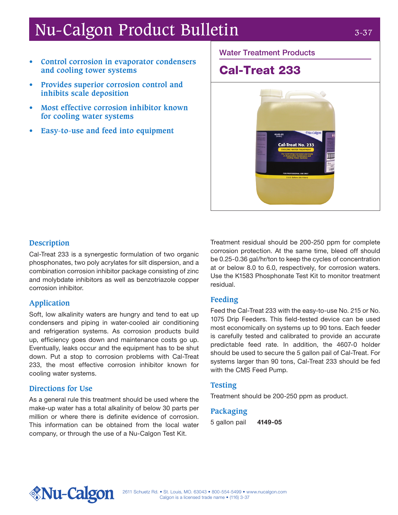# Nu-Calgon Product Bulletin 3-37

- **• Control corrosion in evaporator condensers and cooling tower systems**
- **• Provides superior corrosion control and inhibits scale deposition**
- **• Most effective corrosion inhibitor known for cooling water systems**
- **• Easy-to-use and feed into equipment**

Water Treatment Products

## Cal-Treat 233



#### **Description**

Cal-Treat 233 is a synergestic formulation of two organic phosphonates, two poly acrylates for silt dispersion, and a combination corrosion inhibitor package consisting of zinc and molybdate inhibitors as well as benzotriazole copper corrosion inhibitor.

### **Application**

Soft, low alkalinity waters are hungry and tend to eat up condensers and piping in water-cooled air conditioning and refrigeration systems. As corrosion products build up, efficiency goes down and maintenance costs go up. Eventually, leaks occur and the equipment has to be shut down. Put a stop to corrosion problems with Cal-Treat 233, the most effective corrosion inhibitor known for cooling water systems.

#### **Directions for Use**

As a general rule this treatment should be used where the make-up water has a total alkalinity of below 30 parts per million or where there is definite evidence of corrosion. This information can be obtained from the local water company, or through the use of a Nu-Calgon Test Kit.

Treatment residual should be 200-250 ppm for complete corrosion protection. At the same time, bleed off should be 0.25-0.36 gal/hr/ton to keep the cycles of concentration at or below 8.0 to 6.0, respectively, for corrosion waters. Use the K1583 Phosphonate Test Kit to monitor treatment residual.

#### **Feeding**

Feed the Cal-Treat 233 with the easy-to-use No. 215 or No. 1075 Drip Feeders. This field-tested device can be used most economically on systems up to 90 tons. Each feeder is carefully tested and calibrated to provide an accurate predictable feed rate. In addition, the 4607-0 holder should be used to secure the 5 gallon pail of Cal-Treat. For systems larger than 90 tons, Cal-Treat 233 should be fed with the CMS Feed Pump.

#### **Testing**

Treatment should be 200-250 ppm as product.

#### **Packaging**

5 gallon pail 4149-05